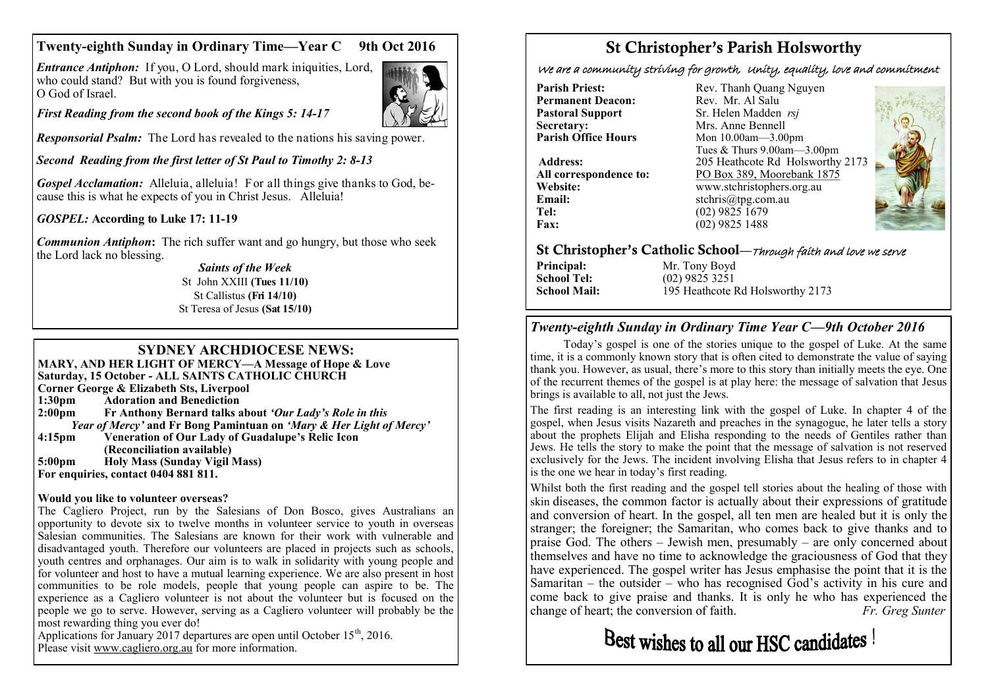## **Twenty-eighth Sunday in Ordinary Time—Year C 9th Oct 2016**

*Entrance Antiphon:* If you, O Lord, should mark iniquities, Lord, who could stand? But with you is found forgiveness, O God of Israel.



*First Reading from the second book of the Kings 5: 14-17*

*Responsorial Psalm:* The Lord has revealed to the nations his saving power.

*Second Reading from the first letter of St Paul to Timothy 2: 8-13*

*Gospel Acclamation:* Alleluia, alleluia! For all things give thanks to God, because this is what he expects of you in Christ Jesus. Alleluia!

*GOSPEL:* **According to Luke 17: 11-19**

*Communion Antiphon***:** The rich suffer want and go hungry, but those who seek the Lord lack no blessing.

*Saints of the Week* St John XXIII **(Tues 11/10)**  St Callistus **(Fri 14/10)**  St Teresa of Jesus **(Sat 15/10)**

#### **SYDNEY ARCHDIOCESE NEWS:**

**MARY, AND HER LIGHT OF MERCY—A Message of Hope & Love Saturday, 15 October - ALL SAINTS CATHOLIC CHURCH Corner George & Elizabeth Sts, Liverpool 1:30pm Adoration and Benediction 2:00pm Fr Anthony Bernard talks about** *'Our Lady's Role in this Year of Mercy'* **and Fr Bong Pamintuan on** *'Mary & Her Light of Mercy'* **4:15pm Veneration of Our Lady of Guadalupe's Relic Icon (Reconciliation available) 5:00pm Holy Mass (Sunday Vigil Mass) For enquiries, contact 0404 881 811.**

#### **Would you like to volunteer overseas?**

The Cagliero Project, run by the Salesians of Don Bosco, gives Australians an opportunity to devote six to twelve months in volunteer service to youth in overseas Salesian communities. The Salesians are known for their work with vulnerable and disadvantaged youth. Therefore our volunteers are placed in projects such as schools, youth centres and orphanages. Our aim is to walk in solidarity with young people and for volunteer and host to have a mutual learning experience. We are also present in host communities to be role models, people that young people can aspire to be. The experience as a Cagliero volunteer is not about the volunteer but is focused on the people we go to serve. However, serving as a Cagliero volunteer will probably be the most rewarding thing you ever do!

Applications for January 2017 departures are open until October  $15<sup>th</sup>$ , 2016. Please visit [www.cagliero.org.au](http://www.cagliero.org.au) for more information.

# St Christopher's Parish Holsworthy

We are a community striving for growth, Unity, equality, love and commitment

**Permanent Deacon:**<br>Pastoral Support **Secretary:** Mrs. Anne Bennell<br> **Parish Office Hours** Mon 10 00am - 3 00

**Email:** stchris@tpg.com.au<br> **Tel:** (02) 9825 1679 **Tel:** (02) 9825 1679<br>**Fax:** (02) 9825 1488

**Parish Priest:** Rev. Thanh Quang Nguyen<br> **Permanent Deacon:** Rev. Mr. Al Salu **Pastoral Support** Sr. Helen Madden *rsj*<br>
Secretary: Mrs. Anne Bennell **Mon 10.00am—3.00pm** Tues & Thurs 9.00am—3.00pm **Address:** 205 Heathcote Rd Holsworthy 2173 **All correspondence to:** PO Box 389, Moorebank 1875 **Website:** www.stchristophers.org.au<br> **Email:** stchris@tng.com au **Fax:** (02) 9825 1488



#### St Christopher's Catholic School—Through faith and love we serve

**Principal:** Mr. Tony Boyd<br> **School Tel:** (02) 9825 3251

**School Tel:** (02) 9825 3251 **School Mail:** 195 Heathcote Rd Holsworthy 2173

## *Twenty-eighth Sunday in Ordinary Time Year C—9th October 2016*

Today's gospel is one of the stories unique to the gospel of Luke. At the same time, it is a commonly known story that is often cited to demonstrate the value of saying thank you. However, as usual, there's more to this story than initially meets the eye. One of the recurrent themes of the gospel is at play here: the message of salvation that Jesus brings is available to all, not just the Jews.

The first reading is an interesting link with the gospel of Luke. In chapter 4 of the gospel, when Jesus visits Nazareth and preaches in the synagogue, he later tells a story about the prophets Elijah and Elisha responding to the needs of Gentiles rather than Jews. He tells the story to make the point that the message of salvation is not reserved exclusively for the Jews. The incident involving Elisha that Jesus refers to in chapter 4 is the one we hear in today's first reading.

Whilst both the first reading and the gospel tell stories about the healing of those with skin diseases, the common factor is actually about their expressions of gratitude and conversion of heart. In the gospel, all ten men are healed but it is only the stranger; the foreigner; the Samaritan, who comes back to give thanks and to praise God. The others – Jewish men, presumably – are only concerned about themselves and have no time to acknowledge the graciousness of God that they have experienced. The gospel writer has Jesus emphasise the point that it is the Samaritan – the outsider – who has recognised  $\hat{G}$  od's activity in his cure and come back to give praise and thanks. It is only he who has experienced the change of heart; the conversion of faith.  $Fr$ . Greg Sunter change of heart; the conversion of faith.

Best wishes to all our HSC candidates !